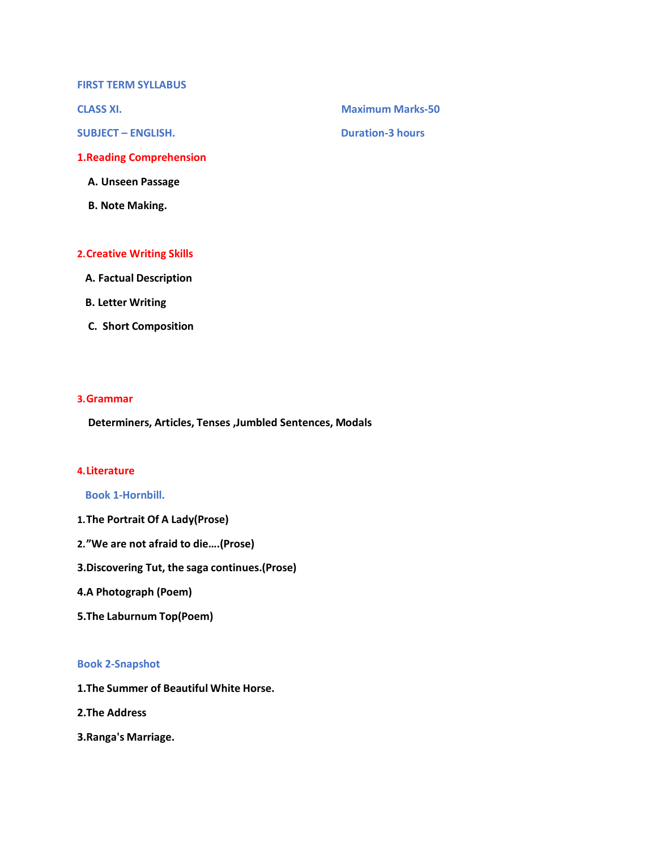**FIRST TERM SYLLABUS**

**SUBJECT – ENGLISH. Duration-3 hours**

**1.Reading Comprehension**

**A. Unseen Passage**

**B. Note Making.**

## **2.Creative Writing Skills**

- **A. Factual Description**
- **B. Letter Writing**
- **C. Short Composition**

#### **3.Grammar**

**Determiners, Articles, Tenses ,Jumbled Sentences, Modals**

#### **4.Literature**

**Book 1-Hornbill.**

- **1.The Portrait Of A Lady(Prose)**
- **2."We are not afraid to die….(Prose)**
- **3.Discovering Tut, the saga continues.(Prose)**
- **4.A Photograph (Poem)**
- **5.The Laburnum Top(Poem)**

### **Book 2-Snapshot**

**1.The Summer of Beautiful White Horse.**

**2.The Address**

**3.Ranga's Marriage.**

**CLASS XI. Maximum Marks-50**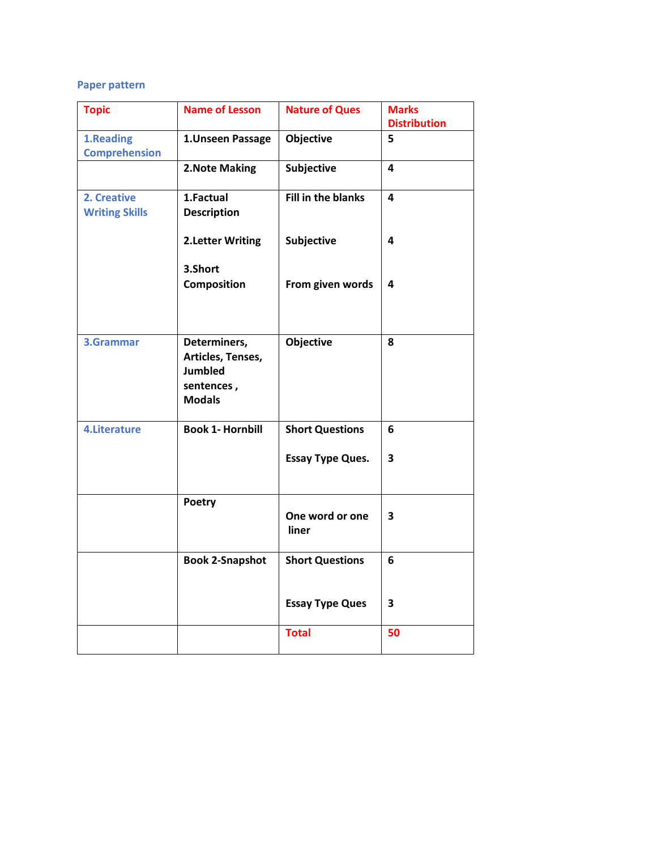## **Paper pattern**

| <b>Topic</b>                         | <b>Name of Lesson</b>                                                              | <b>Nature of Ques</b>     | <b>Marks</b><br><b>Distribution</b> |
|--------------------------------------|------------------------------------------------------------------------------------|---------------------------|-------------------------------------|
| 1.Reading<br><b>Comprehension</b>    | 1. Unseen Passage                                                                  | Objective                 | 5                                   |
|                                      | 2. Note Making                                                                     | Subjective                | 4                                   |
| 2. Creative<br><b>Writing Skills</b> | 1.Factual<br><b>Description</b>                                                    | <b>Fill in the blanks</b> | 4                                   |
|                                      | <b>2.Letter Writing</b><br>3.Short                                                 | Subjective                | 4                                   |
|                                      | <b>Composition</b>                                                                 | From given words          | 4                                   |
| 3.Grammar                            | Determiners,<br>Articles, Tenses,<br><b>Jumbled</b><br>sentences,<br><b>Modals</b> | Objective                 | 8                                   |
| 4. Literature                        | <b>Book 1- Hornbill</b>                                                            | <b>Short Questions</b>    | 6                                   |
|                                      |                                                                                    | <b>Essay Type Ques.</b>   | 3                                   |
|                                      | Poetry                                                                             | One word or one<br>liner  | 3                                   |
|                                      | <b>Book 2-Snapshot</b>                                                             | <b>Short Questions</b>    | 6                                   |
|                                      |                                                                                    | <b>Essay Type Ques</b>    | 3                                   |
|                                      |                                                                                    | <b>Total</b>              | 50                                  |